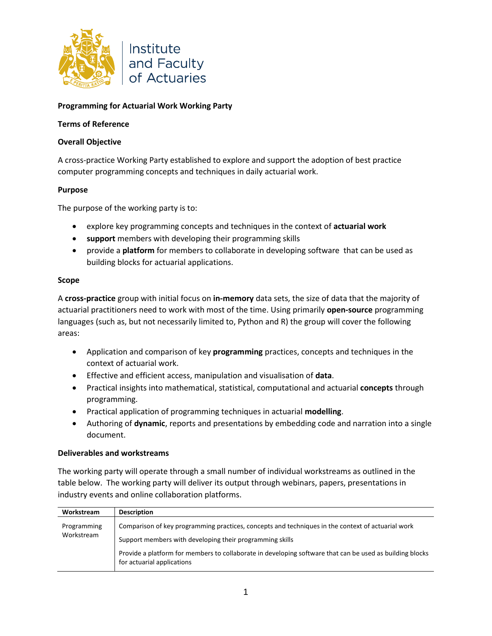

# **Programming for Actuarial Work Working Party**

## **Terms of Reference**

## **Overall Objective**

A cross-practice Working Party established to explore and support the adoption of best practice computer programming concepts and techniques in daily actuarial work.

## **Purpose**

The purpose of the working party is to:

- explore key programming concepts and techniques in the context of **actuarial work**
- **support** members with developing their programming skills
- provide a **platform** for members to collaborate in developing software that can be used as building blocks for actuarial applications.

### **Scope**

A **cross-practice** group with initial focus on **in-memory** data sets, the size of data that the majority of actuarial practitioners need to work with most of the time. Using primarily **open-source** programming languages (such as, but not necessarily limited to, Python and R) the group will cover the following areas:

- Application and comparison of key **programming** practices, concepts and techniques in the context of actuarial work.
- Effective and efficient access, manipulation and visualisation of **data**.
- Practical insights into mathematical, statistical, computational and actuarial **concepts** through programming.
- Practical application of programming techniques in actuarial **modelling**.
- Authoring of **dynamic**, reports and presentations by embedding code and narration into a single document.

### **Deliverables and workstreams**

The working party will operate through a small number of individual workstreams as outlined in the table below. The working party will deliver its output through webinars, papers, presentations in industry events and online collaboration platforms.

| Workstream                | <b>Description</b>                                                                                                                     |
|---------------------------|----------------------------------------------------------------------------------------------------------------------------------------|
| Programming<br>Workstream | Comparison of key programming practices, concepts and techniques in the context of actuarial work                                      |
|                           | Support members with developing their programming skills                                                                               |
|                           | Provide a platform for members to collaborate in developing software that can be used as building blocks<br>for actuarial applications |